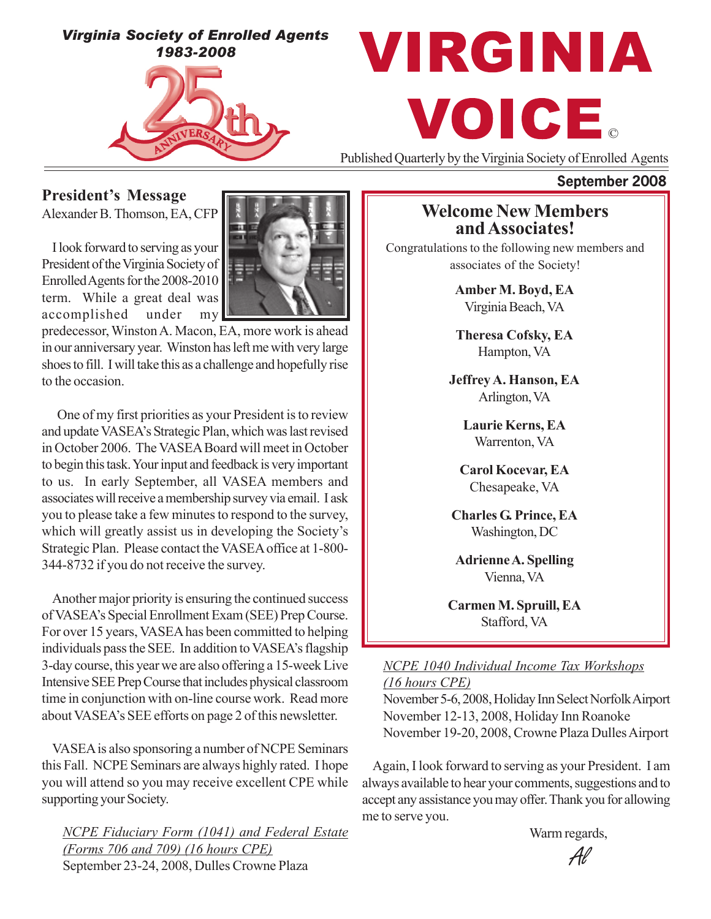*Virginia Society of Enrolled Agents 1983-2008*

# VIRGINIA VOICE.

Published Quarterly by the Virginia Society of Enrolled Agents

### **September 2008**

**President's Message**

Alexander B. Thomson, EA, CFP

I look forward to serving as your President of the Virginia Society of Enrolled Agents for the 2008-2010 term. While a great deal was accomplished under my



predecessor, Winston A. Macon, EA, more work is ahead in our anniversary year. Winston has left me with very large shoes to fill. I will take this as a challenge and hopefully rise to the occasion.

 One of my first priorities as your President is to review and update VASEA's Strategic Plan, which was last revised in October 2006. The VASEA Board will meet in October to begin this task. Your input and feedback is very important to us. In early September, all VASEA members and associates will receive a membership survey via email. I ask you to please take a few minutes to respond to the survey, which will greatly assist us in developing the Society's Strategic Plan. Please contact the VASEA office at 1-800- 344-8732 if you do not receive the survey.

Another major priority is ensuring the continued success of VASEA's Special Enrollment Exam (SEE) Prep Course. For over 15 years, VASEA has been committed to helping individuals pass the SEE. In addition to VASEA's flagship 3-day course, this year we are also offering a 15-week Live Intensive SEE Prep Course that includes physical classroom time in conjunction with on-line course work. Read more about VASEA's SEE efforts on page 2 of this newsletter.

VASEA is also sponsoring a number of NCPE Seminars this Fall. NCPE Seminars are always highly rated. I hope you will attend so you may receive excellent CPE while supporting your Society.

*NCPE Fiduciary Form (1041) and Federal Estate (Forms 706 and 709) (16 hours CPE)* September 23-24, 2008, Dulles Crowne Plaza

## **Welcome New Members and Associates!**

Congratulations to the following new members and associates of the Society!

> **Amber M. Boyd, EA** Virginia Beach, VA

**Theresa Cofsky, EA** Hampton, VA

**Jeffrey A. Hanson, EA** Arlington, VA

> **Laurie Kerns, EA** Warrenton, VA

**Carol Kocevar, EA** Chesapeake, VA

**Charles G. Prince, EA** Washington, DC

**Adrienne A. Spelling** Vienna, VA

**Carmen M. Spruill, EA** Stafford, VA

#### *NCPE 1040 Individual Income Tax Workshops (16 hours CPE)*

November 5-6, 2008, Holiday Inn Select Norfolk Airport November 12-13, 2008, Holiday Inn Roanoke November 19-20, 2008, Crowne Plaza Dulles Airport

Again, I look forward to serving as your President. I am always available to hear your comments, suggestions and to accept any assistance you may offer. Thank you for allowing me to serve you.

Warm regards,

Al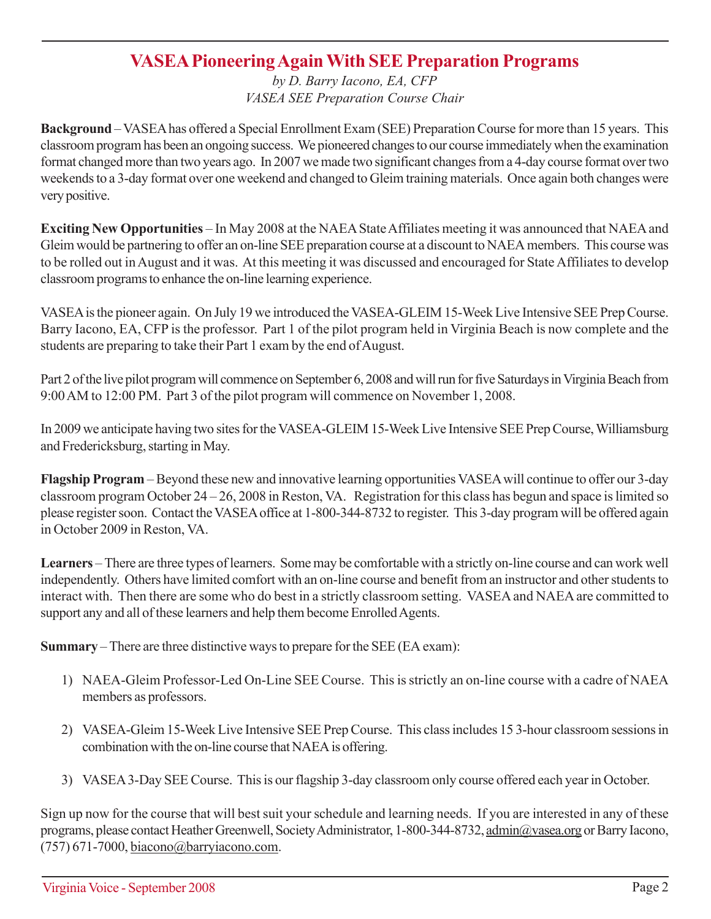## **VASEA Pioneering Again With SEE Preparation Programs**

*by D. Barry Iacono, EA, CFP VASEA SEE Preparation Course Chair*

**Background** – VASEA has offered a Special Enrollment Exam (SEE) Preparation Course for more than 15 years. This classroom program has been an ongoing success. We pioneered changes to our course immediately when the examination format changed more than two years ago. In 2007 we made two significant changes from a 4-day course format over two weekends to a 3-day format over one weekend and changed to Gleim training materials. Once again both changes were very positive.

**Exciting New Opportunities** – In May 2008 at the NAEA State Affiliates meeting it was announced that NAEA and Gleim would be partnering to offer an on-line SEE preparation course at a discount to NAEA members. This course was to be rolled out in August and it was. At this meeting it was discussed and encouraged for State Affiliates to develop classroom programs to enhance the on-line learning experience.

VASEA is the pioneer again. On July 19 we introduced the VASEA-GLEIM 15-Week Live Intensive SEE Prep Course. Barry Iacono, EA, CFP is the professor. Part 1 of the pilot program held in Virginia Beach is now complete and the students are preparing to take their Part 1 exam by the end of August.

Part 2 of the live pilot program will commence on September 6, 2008 and will run for five Saturdays in Virginia Beach from 9:00 AM to 12:00 PM. Part 3 of the pilot program will commence on November 1, 2008.

In 2009 we anticipate having two sites for the VASEA-GLEIM 15-Week Live Intensive SEE Prep Course, Williamsburg and Fredericksburg, starting in May.

**Flagship Program** – Beyond these new and innovative learning opportunities VASEA will continue to offer our 3-day classroom program October 24 – 26, 2008 in Reston, VA. Registration for this class has begun and space is limited so please register soon. Contact the VASEA office at 1-800-344-8732 to register. This 3-day program will be offered again in October 2009 in Reston, VA.

**Learners** – There are three types of learners. Some may be comfortable with a strictly on-line course and can work well independently. Others have limited comfort with an on-line course and benefit from an instructor and other students to interact with. Then there are some who do best in a strictly classroom setting. VASEA and NAEA are committed to support any and all of these learners and help them become Enrolled Agents.

**Summary** – There are three distinctive ways to prepare for the SEE (EA exam):

- 1) NAEA-Gleim Professor-Led On-Line SEE Course. This is strictly an on-line course with a cadre of NAEA members as professors.
- 2) VASEA-Gleim 15-Week Live Intensive SEE Prep Course. This class includes 15 3-hour classroom sessions in combination with the on-line course that NAEA is offering.
- 3) VASEA 3-Day SEE Course. This is our flagship 3-day classroom only course offered each year in October.

Sign up now for the course that will best suit your schedule and learning needs. If you are interested in any of these programs, please contact Heather Greenwell, Society Administrator, 1-800-344-8732, admin@vasea.org or Barry Iacono, (757) 671-7000, biacono@barryiacono.com.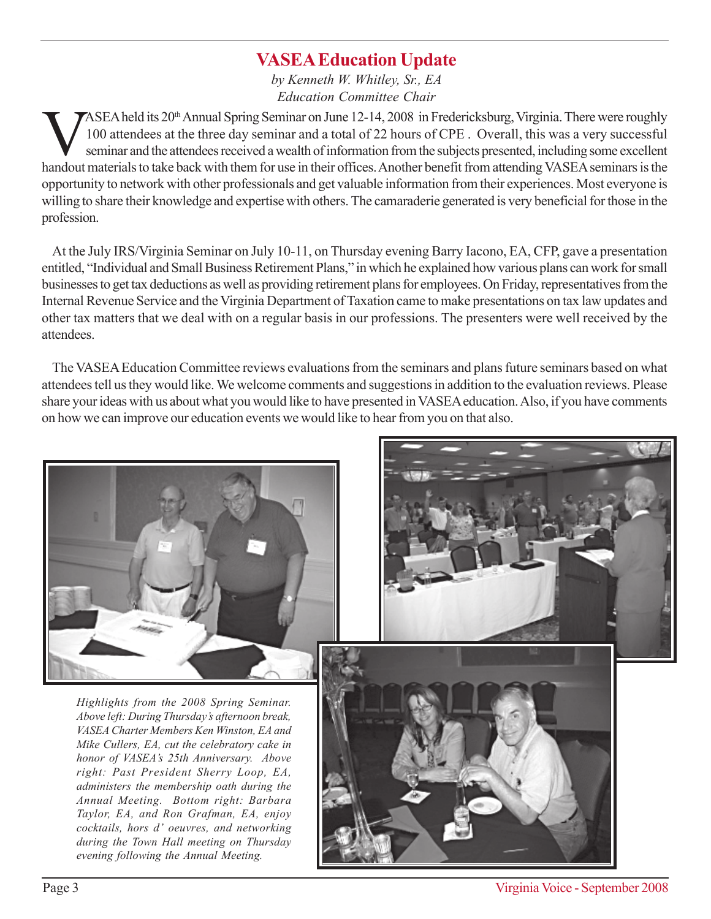# **VASEA Education Update**

*by Kenneth W. Whitley, Sr., EA Education Committee Chair*

ASEA held its 20<sup>th</sup> Annual Spring Seminar on June 12-14, 2008 in Fredericksburg, Virginia. There were roughly<br>100 attendees at the three day seminar and a total of 22 hours of CPE. Overall, this was a very successful<br>semi 100 attendees at the three day seminar and a total of 22 hours of CPE . Overall, this was a very successful seminar and the attendees received a wealth of information from the subjects presented, including some excellent handout materials to take back with them for use in their offices. Another benefit from attending VASEA seminars is the opportunity to network with other professionals and get valuable information from their experiences. Most everyone is willing to share their knowledge and expertise with others. The camaraderie generated is very beneficial for those in the profession.

At the July IRS/Virginia Seminar on July 10-11, on Thursday evening Barry Iacono, EA, CFP, gave a presentation entitled, "Individual and Small Business Retirement Plans," in which he explained how various plans can work for small businesses to get tax deductions as well as providing retirement plans for employees. On Friday, representatives from the Internal Revenue Service and the Virginia Department of Taxation came to make presentations on tax law updates and other tax matters that we deal with on a regular basis in our professions. The presenters were well received by the attendees.

The VASEA Education Committee reviews evaluations from the seminars and plans future seminars based on what attendees tell us they would like. We welcome comments and suggestions in addition to the evaluation reviews. Please share your ideas with us about what you would like to have presented in VASEA education. Also, if you have comments on how we can improve our education events we would like to hear from you on that also.



*Highlights from the 2008 Spring Seminar. Above left: During Thursday's afternoon break, VASEA Charter Members Ken Winston, EA and Mike Cullers, EA, cut the celebratory cake in honor of VASEA's 25th Anniversary. Above right: Past President Sherry Loop, EA, administers the membership oath during the Annual Meeting. Bottom right: Barbara Taylor, EA, and Ron Grafman, EA, enjoy cocktails, hors d' oeuvres, and networking during the Town Hall meeting on Thursday evening following the Annual Meeting.*